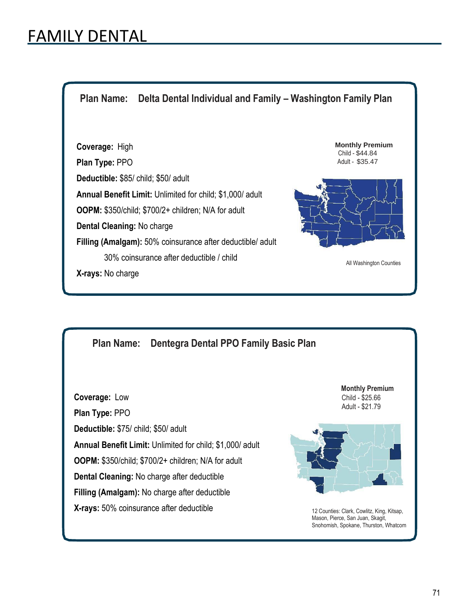## FAMILY DENTAL

**Plan Name: Delta Dental Individual and Family – Washington Family Plan**

**Coverage:** High **Plan Type:** PPO **Deductible:** \$85/ child; \$50/ adult **Annual Benefit Limit:** Unlimited for child; \$1,000/ adult **OOPM:** \$350/child; \$700/2+ children; N/A for adult **Dental Cleaning:** No charge **Filling (Amalgam):** 50% coinsurance after deductible/ adult 30% coinsurance after deductible / child **X-rays:** No charge

**Monthly Premium** Child - \$44.84 Adult - \$35.47



All Washington Counties

## **Plan Name: Dentegra Dental PPO Family Basic Plan**

**Coverage:** Low **Plan Type:** PPO **Deductible:** \$75/ child; \$50/ adult **Annual Benefit Limit:** Unlimited for child; \$1,000/ adult **OOPM:** \$350/child; \$700/2+ children; N/A for adult **Dental Cleaning:** No charge after deductible **Filling (Amalgam):** No charge after deductible **X-rays:** 50% coinsurance after deductible

**Monthly Premium**  Child - \$25.66 Adult - \$21.79



12 Counties: Clark, Cowlitz, King, Kitsap, Mason, Pierce, San Juan, Skagit, Snohomish, Spokane, Thurston, Whatcom